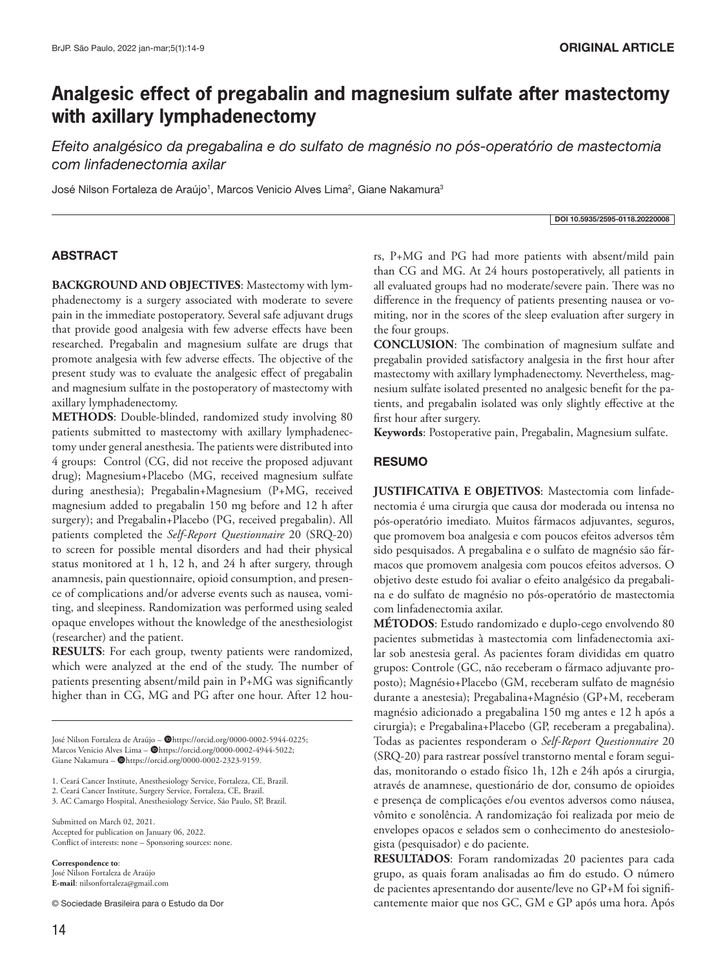# **Analgesic effect of pregabalin and magnesium sulfate after mastectomy with axillary lymphadenectomy**

*Efeito analgésico da pregabalina e do sulfato de magnésio no pós-operatório de mastectomia com linfadenectomia axilar*

José Nilson Fortaleza de Araújo<sup>1</sup>, Marcos Venicio Alves Lima<sup>2</sup>, Giane Nakamura<sup>3</sup>

#### DOI 10.5935/2595-0118.20220008

# ABSTRACT

**BACKGROUND AND OBJECTIVES**: Mastectomy with lymphadenectomy is a surgery associated with moderate to severe pain in the immediate postoperatory. Several safe adjuvant drugs that provide good analgesia with few adverse effects have been researched. Pregabalin and magnesium sulfate are drugs that promote analgesia with few adverse effects. The objective of the present study was to evaluate the analgesic effect of pregabalin and magnesium sulfate in the postoperatory of mastectomy with axillary lymphadenectomy.

**METHODS**: Double-blinded, randomized study involving 80 patients submitted to mastectomy with axillary lymphadenectomy under general anesthesia. The patients were distributed into 4 groups: Control (CG, did not receive the proposed adjuvant drug); Magnesium+Placebo (MG, received magnesium sulfate during anesthesia); Pregabalin+Magnesium (P+MG, received magnesium added to pregabalin 150 mg before and 12 h after surgery); and Pregabalin+Placebo (PG, received pregabalin). All patients completed the *Self-Report Questionnaire* 20 (SRQ-20) to screen for possible mental disorders and had their physical status monitored at 1 h, 12 h, and 24 h after surgery, through anamnesis, pain questionnaire, opioid consumption, and presence of complications and/or adverse events such as nausea, vomiting, and sleepiness. Randomization was performed using sealed opaque envelopes without the knowledge of the anesthesiologist (researcher) and the patient.

**RESULTS**: For each group, twenty patients were randomized, which were analyzed at the end of the study. The number of patients presenting absent/mild pain in P+MG was significantly higher than in CG, MG and PG after one hour. After 12 hou-

José Nilson Fortaleza de Araújo - @https://orcid.org/0000-0002-5944-0225; Marcos Venicio Alves Lima – @https://orcid.org/0000-0002-4944-5022; Giane Nakamura - @https://orcid.org/0000-0002-2323-9159.

1. Ceará Cancer Institute, Anesthesiology Service, Fortaleza, CE, Brazil.

2. Ceará Cancer Institute, Surgery Service, Fortaleza, CE, Brazil.

3. AC Camargo Hospital, Anesthesiology Service, São Paulo, SP, Brazil.

Submitted on March 02, 2021. Accepted for publication on January 06, 2022. Conflict of interests: none – Sponsoring sources: none.

**Correspondence to**: José Nilson Fortaleza de Araújo **E-mail**: nilsonfortaleza@gmail.com

© Sociedade Brasileira para o Estudo da Dor

rs, P+MG and PG had more patients with absent/mild pain than CG and MG. At 24 hours postoperatively, all patients in all evaluated groups had no moderate/severe pain. There was no difference in the frequency of patients presenting nausea or vomiting, nor in the scores of the sleep evaluation after surgery in the four groups.

**CONCLUSION**: The combination of magnesium sulfate and pregabalin provided satisfactory analgesia in the first hour after mastectomy with axillary lymphadenectomy. Nevertheless, magnesium sulfate isolated presented no analgesic benefit for the patients, and pregabalin isolated was only slightly effective at the first hour after surgery.

**Keywords**: Postoperative pain, Pregabalin, Magnesium sulfate.

# RESUMO

**JUSTIFICATIVA E OBJETIVOS**: Mastectomia com linfadenectomia é uma cirurgia que causa dor moderada ou intensa no pós-operatório imediato. Muitos fármacos adjuvantes, seguros, que promovem boa analgesia e com poucos efeitos adversos têm sido pesquisados. A pregabalina e o sulfato de magnésio são fármacos que promovem analgesia com poucos efeitos adversos. O objetivo deste estudo foi avaliar o efeito analgésico da pregabalina e do sulfato de magnésio no pós-operatório de mastectomia com linfadenectomia axilar.

**MÉTODOS**: Estudo randomizado e duplo-cego envolvendo 80 pacientes submetidas à mastectomia com linfadenectomia axilar sob anestesia geral. As pacientes foram divididas em quatro grupos: Controle (GC, não receberam o fármaco adjuvante proposto); Magnésio+Placebo (GM, receberam sulfato de magnésio durante a anestesia); Pregabalina+Magnésio (GP+M, receberam magnésio adicionado a pregabalina 150 mg antes e 12 h após a cirurgia); e Pregabalina+Placebo (GP, receberam a pregabalina). Todas as pacientes responderam o *Self-Report Questionnaire* 20 (SRQ-20) para rastrear possível transtorno mental e foram seguidas, monitorando o estado físico 1h, 12h e 24h após a cirurgia, através de anamnese, questionário de dor, consumo de opioides e presença de complicações e/ou eventos adversos como náusea, vômito e sonolência. A randomização foi realizada por meio de envelopes opacos e selados sem o conhecimento do anestesiologista (pesquisador) e do paciente.

**RESULTADOS**: Foram randomizadas 20 pacientes para cada grupo, as quais foram analisadas ao fim do estudo. O número de pacientes apresentando dor ausente/leve no GP+M foi significantemente maior que nos GC, GM e GP após uma hora. Após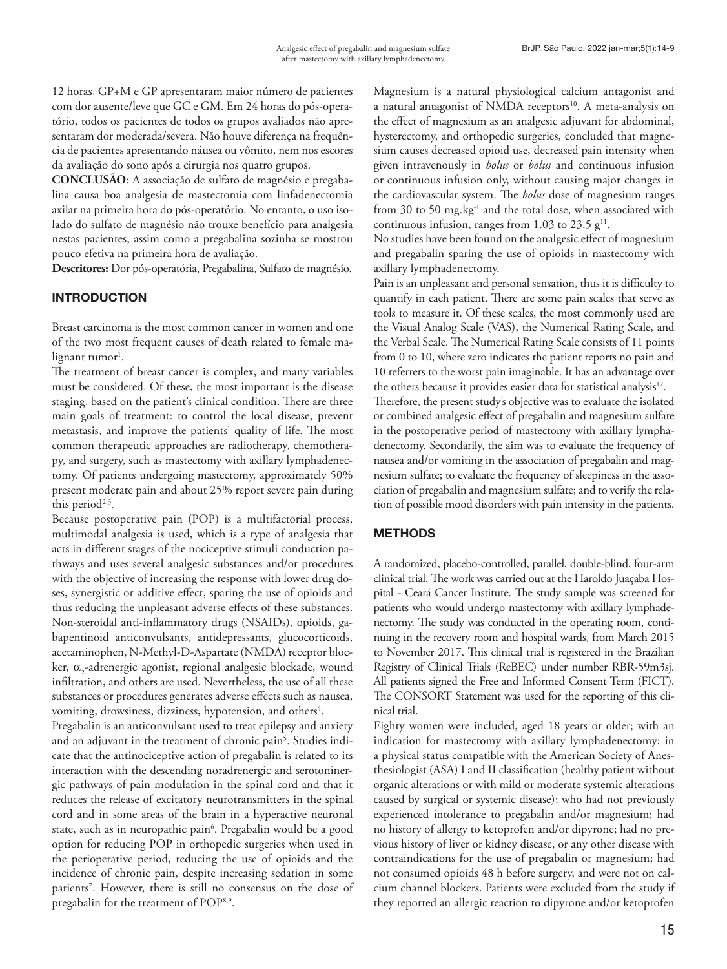12 horas, GP+M e GP apresentaram maior número de pacientes com dor ausente/leve que GC e GM. Em 24 horas do pós-operatório, todos os pacientes de todos os grupos avaliados não apresentaram dor moderada/severa. Não houve diferença na frequência de pacientes apresentando náusea ou vômito, nem nos escores da avaliação do sono após a cirurgia nos quatro grupos.

**CONCLUSÃO**: A associação de sulfato de magnésio e pregabalina causa boa analgesia de mastectomia com linfadenectomia axilar na primeira hora do pós-operatório. No entanto, o uso isolado do sulfato de magnésio não trouxe benefício para analgesia nestas pacientes, assim como a pregabalina sozinha se mostrou pouco efetiva na primeira hora de avaliação.

**Descritores:** Dor pós-operatória, Pregabalina, Sulfato de magnésio.

# INTRODUCTION

Breast carcinoma is the most common cancer in women and one of the two most frequent causes of death related to female ma $lignant~tumor<sup>1</sup>.$ 

The treatment of breast cancer is complex, and many variables must be considered. Of these, the most important is the disease staging, based on the patient's clinical condition. There are three main goals of treatment: to control the local disease, prevent metastasis, and improve the patients' quality of life. The most common therapeutic approaches are radiotherapy, chemotherapy, and surgery, such as mastectomy with axillary lymphadenectomy. Of patients undergoing mastectomy, approximately 50% present moderate pain and about 25% report severe pain during this period<sup> $2,3$ </sup>.

Because postoperative pain (POP) is a multifactorial process, multimodal analgesia is used, which is a type of analgesia that acts in different stages of the nociceptive stimuli conduction pathways and uses several analgesic substances and/or procedures with the objective of increasing the response with lower drug doses, synergistic or additive effect, sparing the use of opioids and thus reducing the unpleasant adverse effects of these substances. Non-steroidal anti-inflammatory drugs (NSAIDs), opioids, gabapentinoid anticonvulsants, antidepressants, glucocorticoids, acetaminophen, N-Methyl-D-Aspartate (NMDA) receptor blocker,  $\alpha_{2}$ -adrenergic agonist, regional analgesic blockade, wound infiltration, and others are used. Nevertheless, the use of all these substances or procedures generates adverse effects such as nausea, vomiting, drowsiness, dizziness, hypotension, and others<sup>4</sup>.

Pregabalin is an anticonvulsant used to treat epilepsy and anxiety and an adjuvant in the treatment of chronic pain<sup>5</sup>. Studies indicate that the antinociceptive action of pregabalin is related to its interaction with the descending noradrenergic and serotoninergic pathways of pain modulation in the spinal cord and that it reduces the release of excitatory neurotransmitters in the spinal cord and in some areas of the brain in a hyperactive neuronal state, such as in neuropathic pain<sup>6</sup>. Pregabalin would be a good option for reducing POP in orthopedic surgeries when used in the perioperative period, reducing the use of opioids and the incidence of chronic pain, despite increasing sedation in some patients<sup>7</sup>. However, there is still no consensus on the dose of pregabalin for the treatment of POP<sup>8,9</sup>.

Magnesium is a natural physiological calcium antagonist and a natural antagonist of NMDA receptors<sup>10</sup>. A meta-analysis on the effect of magnesium as an analgesic adjuvant for abdominal, hysterectomy, and orthopedic surgeries, concluded that magnesium causes decreased opioid use, decreased pain intensity when given intravenously in *bolus* or *bolus* and continuous infusion or continuous infusion only, without causing major changes in the cardiovascular system. The *bolus* dose of magnesium ranges from 30 to 50 mg.kg<sup>-1</sup> and the total dose, when associated with continuous infusion, ranges from 1.03 to 23.5  $g<sup>11</sup>$ .

No studies have been found on the analgesic effect of magnesium and pregabalin sparing the use of opioids in mastectomy with axillary lymphadenectomy.

Pain is an unpleasant and personal sensation, thus it is difficulty to quantify in each patient. There are some pain scales that serve as tools to measure it. Of these scales, the most commonly used are the Visual Analog Scale (VAS), the Numerical Rating Scale, and the Verbal Scale. The Numerical Rating Scale consists of 11 points from 0 to 10, where zero indicates the patient reports no pain and 10 referrers to the worst pain imaginable. It has an advantage over the others because it provides easier data for statistical analysis<sup>12</sup>.

Therefore, the present study's objective was to evaluate the isolated or combined analgesic effect of pregabalin and magnesium sulfate in the postoperative period of mastectomy with axillary lymphadenectomy. Secondarily, the aim was to evaluate the frequency of nausea and/or vomiting in the association of pregabalin and magnesium sulfate; to evaluate the frequency of sleepiness in the association of pregabalin and magnesium sulfate; and to verify the relation of possible mood disorders with pain intensity in the patients.

# METHODS

A randomized, placebo-controlled, parallel, double-blind, four-arm clinical trial. The work was carried out at the Haroldo Juaçaba Hospital - Ceará Cancer Institute. The study sample was screened for patients who would undergo mastectomy with axillary lymphadenectomy. The study was conducted in the operating room, continuing in the recovery room and hospital wards, from March 2015 to November 2017. This clinical trial is registered in the Brazilian Registry of Clinical Trials (ReBEC) under number RBR-59m3sj. All patients signed the Free and Informed Consent Term (FICT). The CONSORT Statement was used for the reporting of this clinical trial.

Eighty women were included, aged 18 years or older; with an indication for mastectomy with axillary lymphadenectomy; in a physical status compatible with the American Society of Anesthesiologist (ASA) I and II classification (healthy patient without organic alterations or with mild or moderate systemic alterations caused by surgical or systemic disease); who had not previously experienced intolerance to pregabalin and/or magnesium; had no history of allergy to ketoprofen and/or dipyrone; had no previous history of liver or kidney disease, or any other disease with contraindications for the use of pregabalin or magnesium; had not consumed opioids 48 h before surgery, and were not on calcium channel blockers. Patients were excluded from the study if they reported an allergic reaction to dipyrone and/or ketoprofen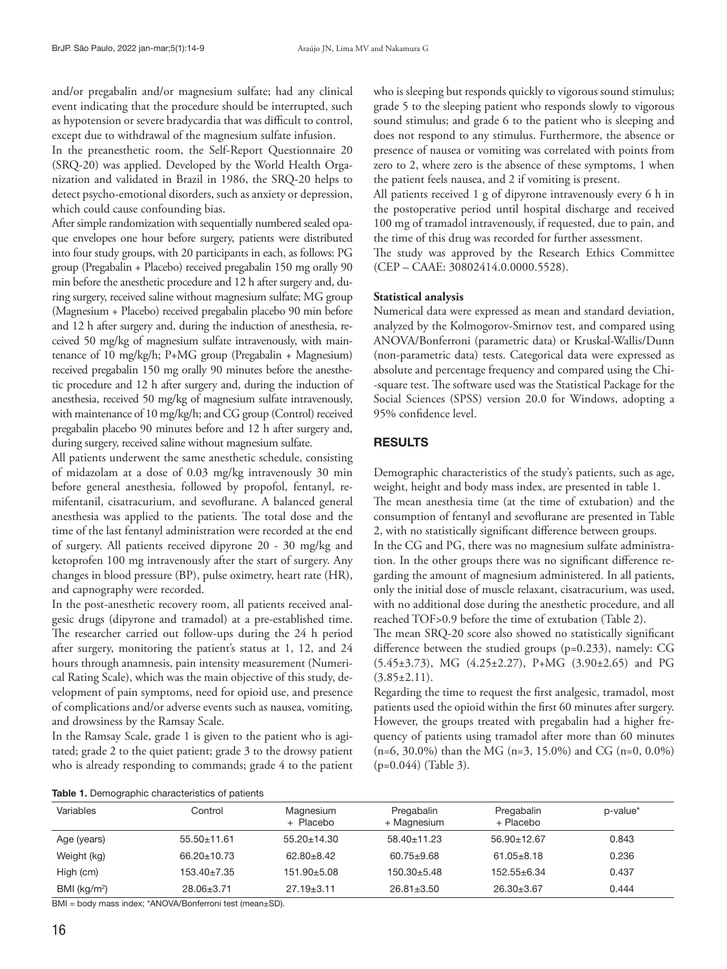and/or pregabalin and/or magnesium sulfate; had any clinical event indicating that the procedure should be interrupted, such as hypotension or severe bradycardia that was difficult to control, except due to withdrawal of the magnesium sulfate infusion.

In the preanesthetic room, the Self-Report Questionnaire 20 (SRQ-20) was applied. Developed by the World Health Organization and validated in Brazil in 1986, the SRQ-20 helps to detect psycho-emotional disorders, such as anxiety or depression, which could cause confounding bias.

After simple randomization with sequentially numbered sealed opaque envelopes one hour before surgery, patients were distributed into four study groups, with 20 participants in each, as follows: PG group (Pregabalin + Placebo) received pregabalin 150 mg orally 90 min before the anesthetic procedure and 12 h after surgery and, during surgery, received saline without magnesium sulfate; MG group (Magnesium + Placebo) received pregabalin placebo 90 min before and 12 h after surgery and, during the induction of anesthesia, received 50 mg/kg of magnesium sulfate intravenously, with maintenance of 10 mg/kg/h; P+MG group (Pregabalin + Magnesium) received pregabalin 150 mg orally 90 minutes before the anesthetic procedure and 12 h after surgery and, during the induction of anesthesia, received 50 mg/kg of magnesium sulfate intravenously, with maintenance of 10 mg/kg/h; and CG group (Control) received pregabalin placebo 90 minutes before and 12 h after surgery and, during surgery, received saline without magnesium sulfate.

All patients underwent the same anesthetic schedule, consisting of midazolam at a dose of 0.03 mg/kg intravenously 30 min before general anesthesia, followed by propofol, fentanyl, remifentanil, cisatracurium, and sevoflurane. A balanced general anesthesia was applied to the patients. The total dose and the time of the last fentanyl administration were recorded at the end of surgery. All patients received dipyrone 20 - 30 mg/kg and ketoprofen 100 mg intravenously after the start of surgery. Any changes in blood pressure (BP), pulse oximetry, heart rate (HR), and capnography were recorded.

In the post-anesthetic recovery room, all patients received analgesic drugs (dipyrone and tramadol) at a pre-established time. The researcher carried out follow-ups during the 24 h period after surgery, monitoring the patient's status at 1, 12, and 24 hours through anamnesis, pain intensity measurement (Numerical Rating Scale), which was the main objective of this study, development of pain symptoms, need for opioid use, and presence of complications and/or adverse events such as nausea, vomiting, and drowsiness by the Ramsay Scale.

In the Ramsay Scale, grade 1 is given to the patient who is agitated; grade 2 to the quiet patient; grade 3 to the drowsy patient who is already responding to commands; grade 4 to the patient who is sleeping but responds quickly to vigorous sound stimulus; grade 5 to the sleeping patient who responds slowly to vigorous sound stimulus; and grade 6 to the patient who is sleeping and does not respond to any stimulus. Furthermore, the absence or presence of nausea or vomiting was correlated with points from zero to 2, where zero is the absence of these symptoms, 1 when the patient feels nausea, and 2 if vomiting is present.

All patients received 1 g of dipyrone intravenously every 6 h in the postoperative period until hospital discharge and received 100 mg of tramadol intravenously, if requested, due to pain, and the time of this drug was recorded for further assessment.

The study was approved by the Research Ethics Committee (CEP – CAAE: 30802414.0.0000.5528).

# **Statistical analysis**

Numerical data were expressed as mean and standard deviation, analyzed by the Kolmogorov-Smirnov test, and compared using ANOVA/Bonferroni (parametric data) or Kruskal-Wallis/Dunn (non-parametric data) tests. Categorical data were expressed as absolute and percentage frequency and compared using the Chi- -square test. The software used was the Statistical Package for the Social Sciences (SPSS) version 20.0 for Windows, adopting a 95% confidence level.

# RESULTS

Demographic characteristics of the study's patients, such as age, weight, height and body mass index, are presented in table 1. The mean anesthesia time (at the time of extubation) and the consumption of fentanyl and sevoflurane are presented in Table 2, with no statistically significant difference between groups. In the CG and PG, there was no magnesium sulfate administration. In the other groups there was no significant difference re-

garding the amount of magnesium administered. In all patients, only the initial dose of muscle relaxant, cisatracurium, was used, with no additional dose during the anesthetic procedure, and all reached TOF>0.9 before the time of extubation (Table 2).

The mean SRQ-20 score also showed no statistically significant difference between the studied groups (p=0.233), namely: CG (5.45±3.73), MG (4.25±2.27), P+MG (3.90±2.65) and PG  $(3.85 \pm 2.11).$ 

Regarding the time to request the first analgesic, tramadol, most patients used the opioid within the first 60 minutes after surgery. However, the groups treated with pregabalin had a higher frequency of patients using tramadol after more than 60 minutes (n=6, 30.0%) than the MG (n=3, 15.0%) and CG (n=0, 0.0%) (p=0.044) (Table 3).

Table 1. Demographic characteristics of patients

| Variables                | Control           | Magnesium<br>+ Placebo | Pregabalin<br>+ Magnesium | Pregabalin<br>+ Placebo | p-value* |
|--------------------------|-------------------|------------------------|---------------------------|-------------------------|----------|
| Age (years)              | $55.50 \pm 11.61$ | $55.20 \pm 14.30$      | $58.40 \pm 11.23$         | $56.90 \pm 12.67$       | 0.843    |
| Weight (kg)              | 66.20±10.73       | $62.80 \pm 8.42$       | $60.75 + 9.68$            | $61.05 \pm 8.18$        | 0.236    |
| High (cm)                | $153.40 \pm 7.35$ | $151.90 + 5.08$        | 150.30±5.48               | $152.55 + 6.34$         | 0.437    |
| BMI (kg/m <sup>2</sup> ) | $28.06 \pm 3.71$  | $27.19 \pm 3.11$       | $26.81 \pm 3.50$          | $26.30 \pm 3.67$        | 0.444    |

BMI = body mass index; \*ANOVA/Bonferroni test (mean±SD).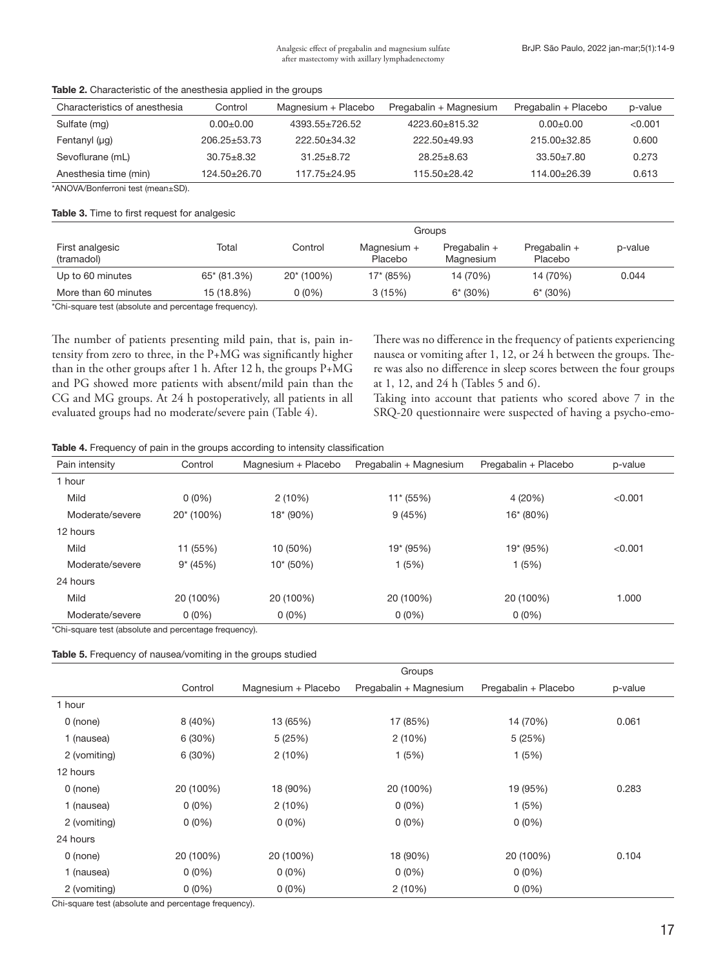| Characteristics of anesthesia | Control            | Magnesium + Placebo  | Pregabalin + Magnesium | Pregabalin + Placebo | p-value |
|-------------------------------|--------------------|----------------------|------------------------|----------------------|---------|
| Sulfate (mg)                  | $0.00 + 0.00$      | $4393.55 \pm 726.52$ | 4223.60+815.32         | $0.00 + 0.00$        | < 0.001 |
| Fentanyl $(\mu g)$            | $206.25 \pm 53.73$ | 222.50+34.32         | $222.50 + 49.93$       | $215.00+32.85$       | 0.600   |
| Sevoflurane (mL)              | $30.75 \pm 8.32$   | $31.25 + 8.72$       | $28.25 \pm 8.63$       | $33.50 \pm 7.80$     | 0.273   |
| Anesthesia time (min)         | $124.50 + 26.70$   | $117.75 + 24.95$     | 115.50±28.42           | $114.00+26.39$       | 0.613   |

#### Table 2. Characteristic of the anesthesia applied in the groups

\*ANOVA/Bonferroni test (mean±SD).

#### Table 3. Time to first request for analgesic

|                               |             |            | Groups                 |                             |                         |         |
|-------------------------------|-------------|------------|------------------------|-----------------------------|-------------------------|---------|
| First analgesic<br>(tramadol) | Total       | Control    | Magnesium +<br>Placebo | Pregabalin $+$<br>Magnesium | Pregabalin +<br>Placebo | p-value |
| Up to 60 minutes              | 65* (81.3%) | 20* (100%) | $17* (85%)$            | 14 (70%)                    | 14 (70%)                | 0.044   |
| More than 60 minutes          | 15 (18.8%)  | 0 (0%)     | 3(15%)                 | $6* (30%)$                  | $6* (30%)$              |         |

\*Chi-square test (absolute and percentage frequency).

The number of patients presenting mild pain, that is, pain intensity from zero to three, in the P+MG was significantly higher than in the other groups after 1 h. After 12 h, the groups P+MG and PG showed more patients with absent/mild pain than the CG and MG groups. At 24 h postoperatively, all patients in all evaluated groups had no moderate/severe pain (Table 4).

There was no difference in the frequency of patients experiencing nausea or vomiting after 1, 12, or 24 h between the groups. There was also no difference in sleep scores between the four groups at 1, 12, and 24 h (Tables 5 and 6).

Taking into account that patients who scored above 7 in the SRQ-20 questionnaire were suspected of having a psycho-emo-

| <b>Table 4.</b> Frequency of pain in the groups according to intensity classification |  |  |  |
|---------------------------------------------------------------------------------------|--|--|--|
|                                                                                       |  |  |  |

| Pain intensity  | Control    | Magnesium + Placebo | Pregabalin + Magnesium | Pregabalin + Placebo | p-value |
|-----------------|------------|---------------------|------------------------|----------------------|---------|
| 1 hour          |            |                     |                        |                      |         |
| Mild            | $0(0\%)$   | 2(10%)              | 11* (55%)              | 4 (20%)              | < 0.001 |
| Moderate/severe | 20* (100%) | $18*(90%)$          | 9(45%)                 | 16* (80%)            |         |
| 12 hours        |            |                     |                        |                      |         |
| Mild            | 11 (55%)   | 10 (50%)            | 19* (95%)              | 19* (95%)            | < 0.001 |
| Moderate/severe | $9*(45%)$  | $10*(50%)$          | 1(5%)                  | 1(5%)                |         |
| 24 hours        |            |                     |                        |                      |         |
| Mild            | 20 (100%)  | 20 (100%)           | 20 (100%)              | 20 (100%)            | 1.000   |
| Moderate/severe | $0(0\%)$   | $0(0\%)$            | $0(0\%)$               | $0(0\%)$             |         |

\*Chi-square test (absolute and percentage frequency).

|                                                      |           |                     | Groups                 |                      |         |
|------------------------------------------------------|-----------|---------------------|------------------------|----------------------|---------|
|                                                      | Control   | Magnesium + Placebo | Pregabalin + Magnesium | Pregabalin + Placebo | p-value |
| 1 hour                                               |           |                     |                        |                      |         |
| $0$ (none)                                           | 8 (40%)   | 13 (65%)            | 17 (85%)               | 14 (70%)             | 0.061   |
| 1 (nausea)                                           | 6 (30%)   | 5(25%)              | 2(10%)                 | 5(25%)               |         |
| 2 (vomiting)                                         | 6 (30%)   | 2(10%)              | 1(5%)                  | 1(5%)                |         |
| 12 hours                                             |           |                     |                        |                      |         |
| $0$ (none)                                           | 20 (100%) | 18 (90%)            | 20 (100%)              | 19 (95%)             | 0.283   |
| 1 (nausea)                                           | $0(0\%)$  | 2(10%)              | $0(0\%)$               | 1(5%)                |         |
| 2 (vomiting)                                         | $0(0\%)$  | $0(0\%)$            | $0(0\%)$               | $0(0\%)$             |         |
| 24 hours                                             |           |                     |                        |                      |         |
| $0$ (none)                                           | 20 (100%) | 20 (100%)           | 18 (90%)               | 20 (100%)            | 0.104   |
| 1 (nausea)                                           | $0(0\%)$  | $0(0\%)$            | $0(0\%)$               | $0(0\%)$             |         |
| 2 (vomiting)                                         | $0(0\%)$  | $0(0\%)$            | 2(10%)                 | $0(0\%)$             |         |
| Chi-square test (absolute and percentage frequency). |           |                     |                        |                      |         |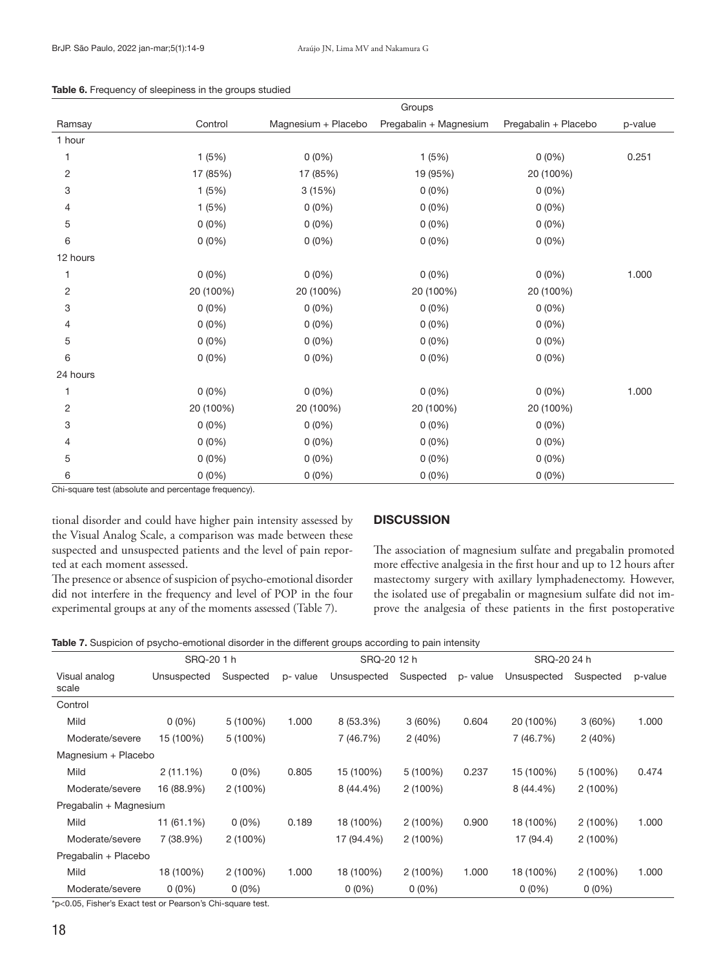|          | Groups    |                     |                        |                      |         |  |  |  |  |
|----------|-----------|---------------------|------------------------|----------------------|---------|--|--|--|--|
| Ramsay   | Control   | Magnesium + Placebo | Pregabalin + Magnesium | Pregabalin + Placebo | p-value |  |  |  |  |
| 1 hour   |           |                     |                        |                      |         |  |  |  |  |
| 1        | 1(5%)     | $0(0\%)$            | 1(5%)                  | $0(0\%)$             | 0.251   |  |  |  |  |
| 2        | 17 (85%)  | 17 (85%)            | 19 (95%)               | 20 (100%)            |         |  |  |  |  |
| 3        | 1(5%)     | 3(15%)              | $0(0\%)$               | $0(0\%)$             |         |  |  |  |  |
| 4        | 1(5%)     | $0(0\%)$            | $0(0\%)$               | $0(0\%)$             |         |  |  |  |  |
| 5        | $0(0\%)$  | $0(0\%)$            | $0(0\%)$               | $0(0\%)$             |         |  |  |  |  |
| 6        | $0(0\%)$  | $0(0\%)$            | $0(0\%)$               | $0(0\%)$             |         |  |  |  |  |
| 12 hours |           |                     |                        |                      |         |  |  |  |  |
| 1        | $0(0\%)$  | $0(0\%)$            | $0(0\%)$               | $0(0\%)$             | 1.000   |  |  |  |  |
| 2        | 20 (100%) | 20 (100%)           | 20 (100%)              | 20 (100%)            |         |  |  |  |  |
| 3        | $0(0\%)$  | $0(0\%)$            | $0(0\%)$               | $0(0\%)$             |         |  |  |  |  |
| 4        | $0(0\%)$  | $0(0\%)$            | $0(0\%)$               | $0(0\%)$             |         |  |  |  |  |
| 5        | $0(0\%)$  | $0(0\%)$            | $0(0\%)$               | $0(0\%)$             |         |  |  |  |  |
| 6        | $0(0\%)$  | $0(0\%)$            | $0(0\%)$               | $0(0\%)$             |         |  |  |  |  |
| 24 hours |           |                     |                        |                      |         |  |  |  |  |
|          | $0(0\%)$  | $0(0\%)$            | $0(0\%)$               | $0(0\%)$             | 1.000   |  |  |  |  |
| 2        | 20 (100%) | 20 (100%)           | 20 (100%)              | 20 (100%)            |         |  |  |  |  |
| 3        | $0(0\%)$  | $0(0\%)$            | $0(0\%)$               | $0(0\%)$             |         |  |  |  |  |
| 4        | $0(0\%)$  | $0(0\%)$            | $0(0\%)$               | $0(0\%)$             |         |  |  |  |  |
| 5        | $0(0\%)$  | $0(0\%)$            | $0(0\%)$               | $0(0\%)$             |         |  |  |  |  |
| 6        | $0(0\%)$  | $0(0\%)$            | $0(0\%)$               | $0(0\%)$             |         |  |  |  |  |

#### Table 6. Frequency of sleepiness in the groups studied

Chi-square test (absolute and percentage frequency).

tional disorder and could have higher pain intensity assessed by the Visual Analog Scale, a comparison was made between these suspected and unsuspected patients and the level of pain reported at each moment assessed.

The presence or absence of suspicion of psycho-emotional disorder did not interfere in the frequency and level of POP in the four experimental groups at any of the moments assessed (Table 7).

# **DISCUSSION**

The association of magnesium sulfate and pregabalin promoted more effective analgesia in the first hour and up to 12 hours after mastectomy surgery with axillary lymphadenectomy. However, the isolated use of pregabalin or magnesium sulfate did not improve the analgesia of these patients in the first postoperative

Table 7. Suspicion of psycho-emotional disorder in the different groups according to pain intensity

|                        | SRQ-20 1 h           |            |          |             | SRQ-2012 h |          |             | SRQ-20 24 h |         |
|------------------------|----------------------|------------|----------|-------------|------------|----------|-------------|-------------|---------|
| Visual analog<br>scale | Unsuspected          | Suspected  | p- value | Unsuspected | Suspected  | p- value | Unsuspected | Suspected   | p-value |
| Control                |                      |            |          |             |            |          |             |             |         |
| Mild                   | $0(0\%)$             | $5(100\%)$ | 1.000    | 8 (53.3%)   | 3(60%)     | 0.604    | 20 (100%)   | 3(60%)      | 1.000   |
| Moderate/severe        | 15 (100%)            | 5 (100%)   |          | 7 (46.7%)   | 2(40%)     |          | 7 (46.7%)   | 2(40%)      |         |
| Magnesium + Placebo    |                      |            |          |             |            |          |             |             |         |
| Mild                   | $2(11.1\%)$          | $0(0\%)$   | 0.805    | 15 (100%)   | 5 (100%)   | 0.237    | 15 (100%)   | 5 (100%)    | 0.474   |
| Moderate/severe        | 16 (88.9%)           | $2(100\%)$ |          | 8 (44.4%)   | $2(100\%)$ |          | 8 (44.4%)   | 2(100%)     |         |
| Pregabalin + Magnesium |                      |            |          |             |            |          |             |             |         |
| Mild                   | 11 (61.1%)           | $0(0\%)$   | 0.189    | 18 (100%)   | $2(100\%)$ | 0.900    | 18 (100%)   | $2(100\%)$  | 1.000   |
| Moderate/severe        | 7 (38.9%)            | $2(100\%)$ |          | 17 (94.4%)  | 2(100%)    |          | 17 (94.4)   | 2(100%)     |         |
| Pregabalin + Placebo   |                      |            |          |             |            |          |             |             |         |
| Mild                   | 18 (100%)            | $2(100\%)$ | 1.000    | 18 (100%)   | $2(100\%)$ | 1.000    | 18 (100%)   | 2(100%)     | 1.000   |
| Moderate/severe        | $0(0\%)$<br>$\cdots$ | $0(0\%)$   |          | $0(0\%)$    | $0(0\%)$   |          | $0(0\%)$    | $0(0\%)$    |         |

\*p<0.05, Fisher's Exact test or Pearson's Chi-square test.